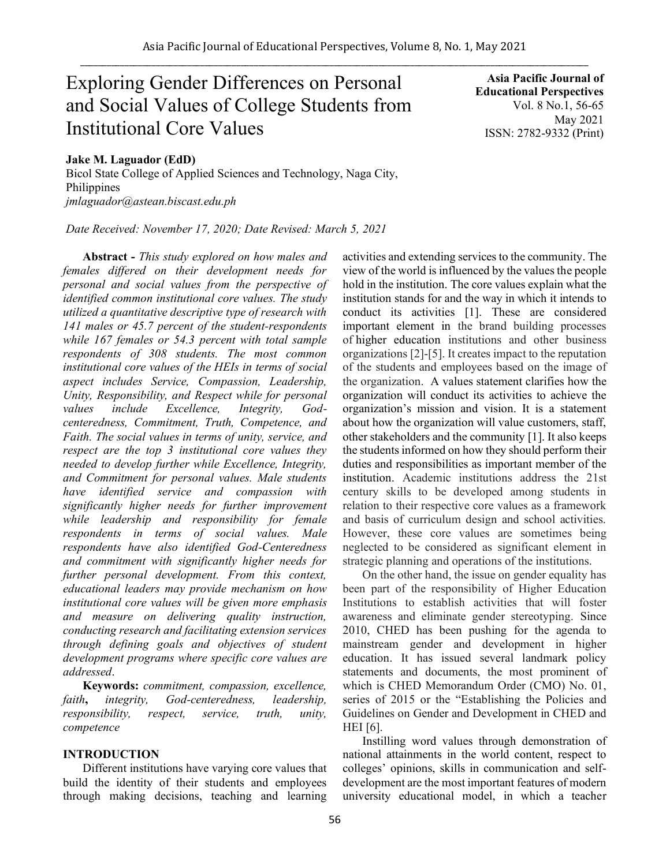# Exploring Gender Differences on Personal and Social Values of College Students from Institutional Core Values

**Asia Pacific Journal of Educational Perspectives**  Vol. 8 No.1, 56-65 May 2021 ISSN: 2782-9332 (Print)

# **Jake M. Laguador (EdD)**

Bicol State College of Applied Sciences and Technology, Naga City, Philippines *jmlaguador@astean.biscast.edu.ph*

*Date Received: November 17, 2020; Date Revised: March 5, 2021*

**Abstract -** *This study explored on how males and females differed on their development needs for personal and social values from the perspective of identified common institutional core values. The study utilized a quantitative descriptive type of research with 141 males or 45.7 percent of the student-respondents while 167 females or 54.3 percent with total sample respondents of 308 students. The most common institutional core values of the HEIs in terms of social aspect includes Service, Compassion, Leadership, Unity, Responsibility, and Respect while for personal values include Excellence, Integrity, Godcenteredness, Commitment, Truth, Competence, and Faith. The social values in terms of unity, service, and respect are the top 3 institutional core values they needed to develop further while Excellence, Integrity, and Commitment for personal values. Male students have identified service and compassion with significantly higher needs for further improvement while leadership and responsibility for female respondents in terms of social values. Male respondents have also identified God-Centeredness and commitment with significantly higher needs for further personal development. From this context, educational leaders may provide mechanism on how institutional core values will be given more emphasis and measure on delivering quality instruction, conducting research and facilitating extension services through defining goals and objectives of student development programs where specific core values are addressed*.

**Keywords:** *commitment, compassion, excellence, faith***,** *integrity, God-centeredness, leadership, responsibility, respect, service, truth, unity, competence* 

# **INTRODUCTION**

Different institutions have varying core values that build the identity of their students and employees through making decisions, teaching and learning activities and extending services to the community. The view of the world is influenced by the values the people hold in the institution. The core values explain what the institution stands for and the way in which it intends to conduct its activities [1]. These are considered important element in the brand building processes of higher education institutions and other business organizations [2]-[5]. It creates impact to the reputation of the students and employees based on the image of the organization. A values statement clarifies how the organization will conduct its activities to achieve the organization's mission and vision. It is a statement about how the organization will value customers, staff, other stakeholders and the community [1]. It also keeps the students informed on how they should perform their duties and responsibilities as important member of the institution. Academic institutions address the 21st century skills to be developed among students in relation to their respective core values as a framework and basis of curriculum design and school activities. However, these core values are sometimes being neglected to be considered as significant element in strategic planning and operations of the institutions.

On the other hand, the issue on gender equality has been part of the responsibility of Higher Education Institutions to establish activities that will foster awareness and eliminate gender stereotyping. Since 2010, CHED has been pushing for the agenda to mainstream gender and development in higher education. It has issued several landmark policy statements and documents, the most prominent of which is CHED Memorandum Order (CMO) No. 01, series of 2015 or the "Establishing the Policies and Guidelines on Gender and Development in CHED and HEI [6].

Instilling word values through demonstration of national attainments in the world content, respect to colleges' opinions, skills in communication and selfdevelopment are the most important features of modern university educational model, in which a teacher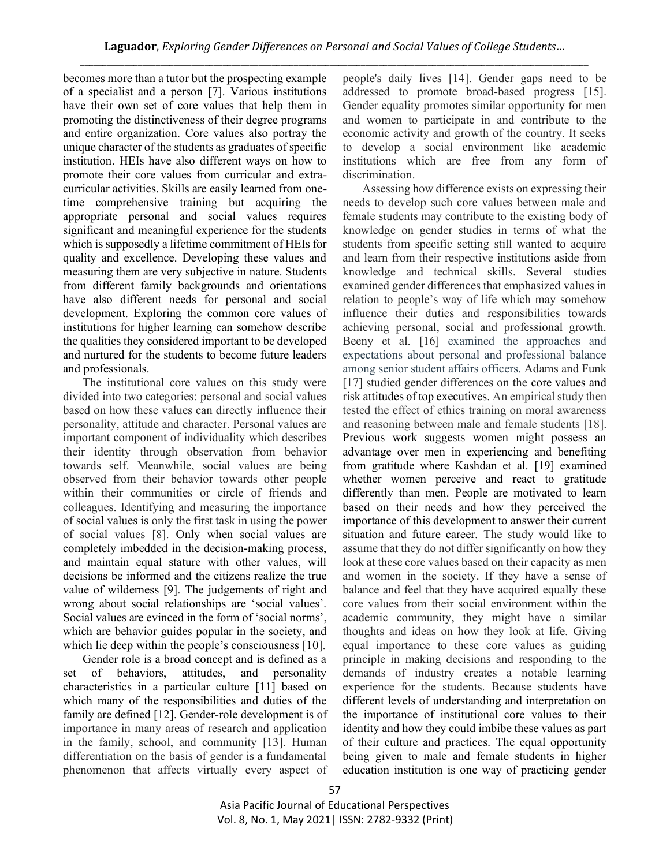becomes more than a tutor but the prospecting example of a specialist and a person [7]. Various institutions have their own set of core values that help them in promoting the distinctiveness of their degree programs and entire organization. Core values also portray the unique character of the students as graduates of specific institution. HEIs have also different ways on how to promote their core values from curricular and extracurricular activities. Skills are easily learned from onetime comprehensive training but acquiring the appropriate personal and social values requires significant and meaningful experience for the students which is supposedly a lifetime commitment of HEIs for quality and excellence. Developing these values and measuring them are very subjective in nature. Students from different family backgrounds and orientations have also different needs for personal and social development. Exploring the common core values of institutions for higher learning can somehow describe the qualities they considered important to be developed and nurtured for the students to become future leaders and professionals.

The institutional core values on this study were divided into two categories: personal and social values based on how these values can directly influence their personality, attitude and character. Personal values are important component of individuality which describes their identity through observation from behavior towards self. Meanwhile, social values are being observed from their behavior towards other people within their communities or circle of friends and colleagues. Identifying and measuring the importance of social values is only the first task in using the power of social values [8]. Only when social values are completely imbedded in the decision-making process, and maintain equal stature with other values, will decisions be informed and the citizens realize the true value of wilderness [9]. The judgements of right and wrong about social relationships are 'social values'. Social values are evinced in the form of 'social norms', which are behavior guides popular in the society, and which lie deep within the people's consciousness [10].

Gender role is a broad concept and is defined as a set of behaviors, attitudes, and personality characteristics in a particular culture [11] based on which many of the responsibilities and duties of the family are defined [12]. Gender-role development is of importance in many areas of research and application in the family, school, and community [13]. Human differentiation on the basis of gender is a fundamental phenomenon that affects virtually every aspect of people's daily lives [14]. Gender gaps need to be addressed to promote broad-based progress [15]. Gender equality promotes similar opportunity for men and women to participate in and contribute to the economic activity and growth of the country. It seeks to develop a social environment like academic institutions which are free from any form of discrimination.

Assessing how difference exists on expressing their needs to develop such core values between male and female students may contribute to the existing body of knowledge on gender studies in terms of what the students from specific setting still wanted to acquire and learn from their respective institutions aside from knowledge and technical skills. Several studies examined gender differences that emphasized values in relation to people's way of life which may somehow influence their duties and responsibilities towards achieving personal, social and professional growth. Beeny et al. [16] examined the approaches and expectations about personal and professional balance among senior student affairs officers. Adams and Funk [17] studied gender differences on the core values and risk attitudes of top executives. An empirical study then tested the effect of ethics training on moral awareness and reasoning between male and female students [18]. Previous work suggests women might possess an advantage over men in experiencing and benefiting from gratitude where Kashdan et al. [19] examined whether women perceive and react to gratitude differently than men. People are motivated to learn based on their needs and how they perceived the importance of this development to answer their current situation and future career. The study would like to assume that they do not differ significantly on how they look at these core values based on their capacity as men and women in the society. If they have a sense of balance and feel that they have acquired equally these core values from their social environment within the academic community, they might have a similar thoughts and ideas on how they look at life. Giving equal importance to these core values as guiding principle in making decisions and responding to the demands of industry creates a notable learning experience for the students. Because students have different levels of understanding and interpretation on the importance of institutional core values to their identity and how they could imbibe these values as part of their culture and practices. The equal opportunity being given to male and female students in higher education institution is one way of practicing gender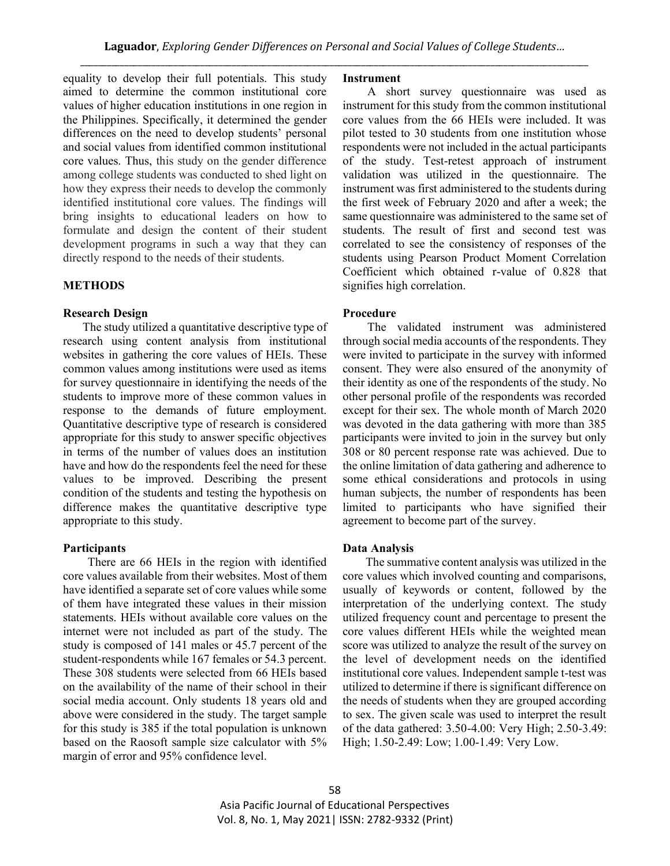equality to develop their full potentials. This study aimed to determine the common institutional core values of higher education institutions in one region in the Philippines. Specifically, it determined the gender differences on the need to develop students' personal and social values from identified common institutional core values. Thus, this study on the gender difference among college students was conducted to shed light on how they express their needs to develop the commonly identified institutional core values. The findings will bring insights to educational leaders on how to formulate and design the content of their student development programs in such a way that they can directly respond to the needs of their students.

#### **METHODS**

## **Research Design**

The study utilized a quantitative descriptive type of research using content analysis from institutional websites in gathering the core values of HEIs. These common values among institutions were used as items for survey questionnaire in identifying the needs of the students to improve more of these common values in response to the demands of future employment. Quantitative descriptive type of research is considered appropriate for this study to answer specific objectives in terms of the number of values does an institution have and how do the respondents feel the need for these values to be improved. Describing the present condition of the students and testing the hypothesis on difference makes the quantitative descriptive type appropriate to this study.

#### **Participants**

There are 66 HEIs in the region with identified core values available from their websites. Most of them have identified a separate set of core values while some of them have integrated these values in their mission statements. HEIs without available core values on the internet were not included as part of the study. The study is composed of 141 males or 45.7 percent of the student-respondents while 167 females or 54.3 percent. These 308 students were selected from 66 HEIs based on the availability of the name of their school in their social media account. Only students 18 years old and above were considered in the study. The target sample for this study is 385 if the total population is unknown based on the Raosoft sample size calculator with 5% margin of error and 95% confidence level.

#### **Instrument**

A short survey questionnaire was used as instrument for this study from the common institutional core values from the 66 HEIs were included. It was pilot tested to 30 students from one institution whose respondents were not included in the actual participants of the study. Test-retest approach of instrument validation was utilized in the questionnaire. The instrument was first administered to the students during the first week of February 2020 and after a week; the same questionnaire was administered to the same set of students. The result of first and second test was correlated to see the consistency of responses of the students using Pearson Product Moment Correlation Coefficient which obtained r-value of 0.828 that signifies high correlation.

### **Procedure**

The validated instrument was administered through social media accounts of the respondents. They were invited to participate in the survey with informed consent. They were also ensured of the anonymity of their identity as one of the respondents of the study. No other personal profile of the respondents was recorded except for their sex. The whole month of March 2020 was devoted in the data gathering with more than 385 participants were invited to join in the survey but only 308 or 80 percent response rate was achieved. Due to the online limitation of data gathering and adherence to some ethical considerations and protocols in using human subjects, the number of respondents has been limited to participants who have signified their agreement to become part of the survey.

#### **Data Analysis**

The summative content analysis was utilized in the core values which involved counting and comparisons, usually of keywords or content, followed by the interpretation of the underlying context. The study utilized frequency count and percentage to present the core values different HEIs while the weighted mean score was utilized to analyze the result of the survey on the level of development needs on the identified institutional core values. Independent sample t-test was utilized to determine if there is significant difference on the needs of students when they are grouped according to sex. The given scale was used to interpret the result of the data gathered: 3.50-4.00: Very High; 2.50-3.49: High; 1.50-2.49: Low; 1.00-1.49: Very Low.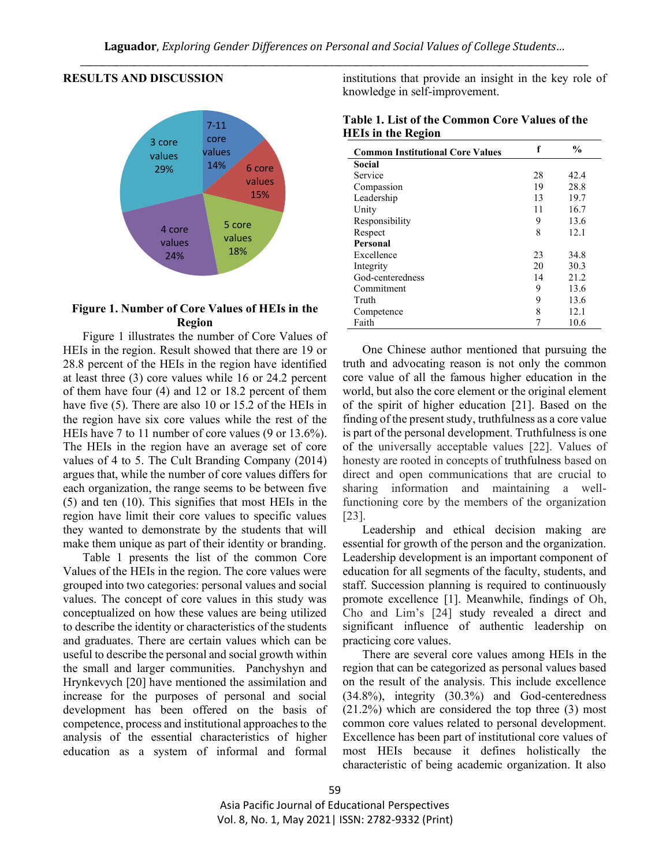### **RESULTS AND DISCUSSION**



# **Figure 1. Number of Core Values of HEIs in the Region**

Figure 1 illustrates the number of Core Values of HEIs in the region. Result showed that there are 19 or 28.8 percent of the HEIs in the region have identified at least three (3) core values while 16 or 24.2 percent of them have four (4) and 12 or 18.2 percent of them have five (5). There are also 10 or 15.2 of the HEIs in the region have six core values while the rest of the HEIs have 7 to 11 number of core values (9 or 13.6%). The HEIs in the region have an average set of core values of 4 to 5. The Cult Branding Company (2014) argues that, while the number of core values differs for each organization, the range seems to be between five (5) and ten (10). This signifies that most HEIs in the region have limit their core values to specific values they wanted to demonstrate by the students that will make them unique as part of their identity or branding.

Table 1 presents the list of the common Core Values of the HEIs in the region. The core values were grouped into two categories: personal values and social values. The concept of core values in this study was conceptualized on how these values are being utilized to describe the identity or characteristics of the students and graduates. There are certain values which can be useful to describe the personal and social growth within the small and larger communities. Panchyshyn and Hrynkevych [20] have mentioned the assimilation and increase for the purposes of personal and social development has been offered on the basis of competence, process and institutional approaches to the analysis of the essential characteristics of higher education as a system of informal and formal

institutions that provide an insight in the key role of knowledge in self-improvement.

| Table 1. List of the Common Core Values of the |  |  |
|------------------------------------------------|--|--|
| <b>HEIs in the Region</b>                      |  |  |

| <b>Common Institutional Core Values</b> | f  | $\frac{0}{0}$ |
|-----------------------------------------|----|---------------|
| Social                                  |    |               |
| Service                                 | 28 | 42.4          |
| Compassion                              | 19 | 28.8          |
| Leadership                              | 13 | 19.7          |
| Unity                                   | 11 | 16.7          |
| Responsibility                          | 9  | 13.6          |
| Respect                                 | 8  | 12.1          |
| <b>Personal</b>                         |    |               |
| Excellence                              | 23 | 34.8          |
| Integrity                               | 20 | 30.3          |
| God-centeredness                        | 14 | 21.2          |
| Commitment                              | 9  | 13.6          |
| Truth                                   | 9  | 13.6          |
| Competence                              | 8  | 12.1          |
| Faith                                   |    | 10.6          |

One Chinese author mentioned that pursuing the truth and advocating reason is not only the common core value of all the famous higher education in the world, but also the core element or the original element of the spirit of higher education [21]. Based on the finding of the present study, truthfulness as a core value is part of the personal development. Truthfulness is one of the universally acceptable values [22]. Values of honesty are rooted in concepts of truthfulness based on direct and open communications that are crucial to sharing information and maintaining a wellfunctioning core by the members of the organization [23].

Leadership and ethical decision making are essential for growth of the person and the organization. Leadership development is an important component of education for all segments of the faculty, students, and staff. Succession planning is required to continuously promote excellence [1]. Meanwhile, findings of Oh, Cho and Lim's [24] study revealed a direct and significant influence of authentic leadership on practicing core values.

There are several core values among HEIs in the region that can be categorized as personal values based on the result of the analysis. This include excellence (34.8%), integrity (30.3%) and God-centeredness (21.2%) which are considered the top three (3) most common core values related to personal development. Excellence has been part of institutional core values of most HEIs because it defines holistically the characteristic of being academic organization. It also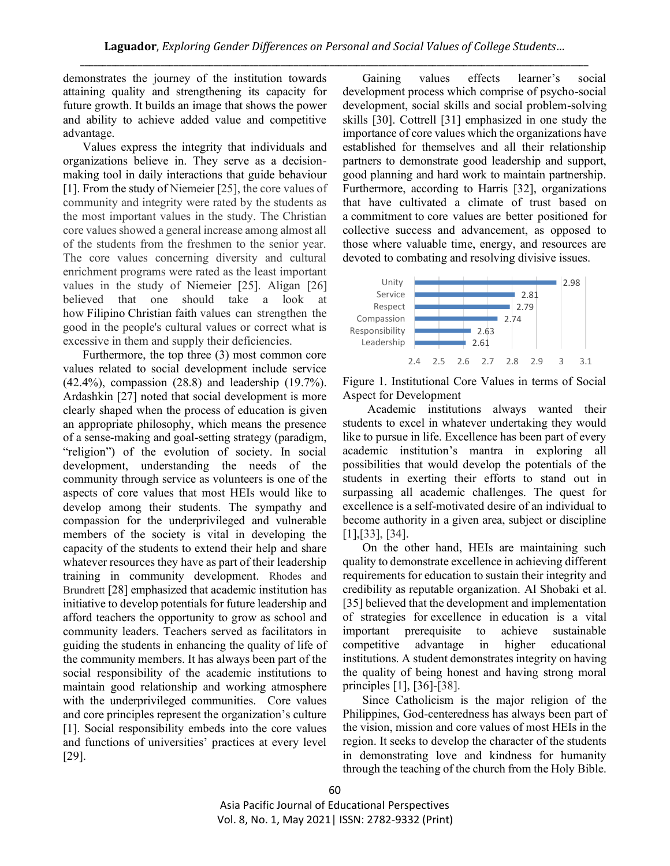demonstrates the journey of the institution towards attaining quality and strengthening its capacity for future growth. It builds an image that shows the power and ability to achieve added value and competitive advantage.

Values express the integrity that individuals and organizations believe in. They serve as a decisionmaking tool in daily interactions that guide behaviour [1]. From the study of Niemeier [25], the core values of community and integrity were rated by the students as the most important values in the study. The Christian core values showed a general increase among almost all of the students from the freshmen to the senior year. The core values concerning diversity and cultural enrichment programs were rated as the least important values in the study of Niemeier [25]. Aligan [26] believed that one should take a look at how Filipino Christian faith values can strengthen the good in the people's cultural values or correct what is excessive in them and supply their deficiencies.

Furthermore, the top three (3) most common core values related to social development include service (42.4%), compassion (28.8) and leadership (19.7%). Ardashkin [27] noted that social development is more clearly shaped when the process of education is given an appropriate philosophy, which means the presence of a sense-making and goal-setting strategy (paradigm, "religion") of the evolution of society. In social development, understanding the needs of the community through service as volunteers is one of the aspects of core values that most HEIs would like to develop among their students. The sympathy and compassion for the underprivileged and vulnerable members of the society is vital in developing the capacity of the students to extend their help and share whatever resources they have as part of their leadership training in community development. Rhodes and Brundrett [28] emphasized that academic institution has initiative to develop potentials for future leadership and afford teachers the opportunity to grow as school and community leaders. Teachers served as facilitators in guiding the students in enhancing the quality of life of the community members. It has always been part of the social responsibility of the academic institutions to maintain good relationship and working atmosphere with the underprivileged communities. Core values and core principles represent the organization's culture [1]. Social responsibility embeds into the core values and functions of universities' practices at every level [29].

Gaining values effects learner's social development process which comprise of psycho-social development, social skills and social problem-solving skills [30]. Cottrell [31] emphasized in one study the importance of core values which the organizations have established for themselves and all their relationship partners to demonstrate good leadership and support, good planning and hard work to maintain partnership. Furthermore, according to Harris [32], organizations that have cultivated a climate of trust based on a commitment to core values are better positioned for collective success and advancement, as opposed to those where valuable time, energy, and resources are devoted to combating and resolving divisive issues.



Figure 1. Institutional Core Values in terms of Social Aspect for Development

Academic institutions always wanted their students to excel in whatever undertaking they would like to pursue in life. Excellence has been part of every academic institution's mantra in exploring all possibilities that would develop the potentials of the students in exerting their efforts to stand out in surpassing all academic challenges. The quest for excellence is a self-motivated desire of an individual to become authority in a given area, subject or discipline [1],[33], [34].

On the other hand, HEIs are maintaining such quality to demonstrate excellence in achieving different requirements for education to sustain their integrity and credibility as reputable organization. Al Shobaki et al. [35] believed that the development and implementation of strategies for excellence in education is a vital important prerequisite to achieve sustainable competitive advantage in higher educational institutions. A student demonstrates integrity on having the quality of being honest and having strong moral principles [1], [36]-[38].

Since Catholicism is the major religion of the Philippines, God-centeredness has always been part of the vision, mission and core values of most HEIs in the region. It seeks to develop the character of the students in demonstrating love and kindness for humanity through the teaching of the church from the Holy Bible.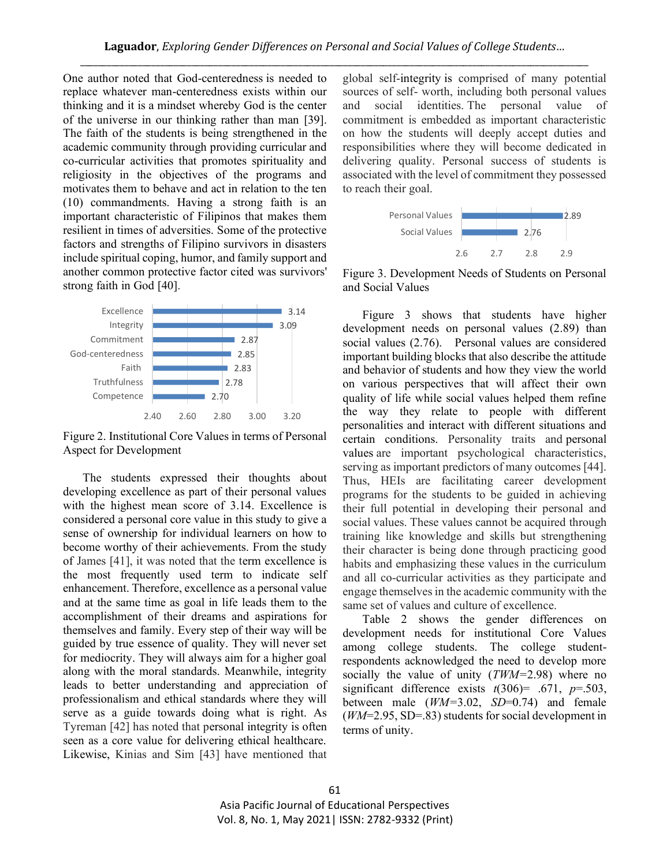One author noted that God-centeredness is needed to replace whatever man-centeredness exists within our thinking and it is a mindset whereby God is the center of the universe in our thinking rather than man [39]. The faith of the students is being strengthened in the academic community through providing curricular and co-curricular activities that promotes spirituality and religiosity in the objectives of the programs and motivates them to behave and act in relation to the ten (10) commandments. Having a strong faith is an important characteristic of Filipinos that makes them resilient in times of adversities. Some of the protective factors and strengths of Filipino survivors in disasters include spiritual coping, humor, and family support and another common protective factor cited was survivors' strong faith in God [40].



Figure 2. Institutional Core Values in terms of Personal Aspect for Development

The students expressed their thoughts about developing excellence as part of their personal values with the highest mean score of 3.14. Excellence is considered a personal core value in this study to give a sense of ownership for individual learners on how to become worthy of their achievements. From the study of James [41], it was noted that the term excellence is the most frequently used term to indicate self enhancement. Therefore, excellence as a personal value and at the same time as goal in life leads them to the accomplishment of their dreams and aspirations for themselves and family. Every step of their way will be guided by true essence of quality. They will never set for mediocrity. They will always aim for a higher goal along with the moral standards. Meanwhile, integrity leads to better understanding and appreciation of professionalism and ethical standards where they will serve as a guide towards doing what is right. As Tyreman [42] has noted that personal integrity is often seen as a core value for delivering ethical healthcare. Likewise, Kinias and Sim [43] have mentioned that

global self-integrity is comprised of many potential sources of self- worth, including both personal values and social identities. The personal value of commitment is embedded as important characteristic on how the students will deeply accept duties and responsibilities where they will become dedicated in delivering quality. Personal success of students is associated with the level of commitment they possessed to reach their goal.



Figure 3. Development Needs of Students on Personal and Social Values

Figure 3 shows that students have higher development needs on personal values (2.89) than social values (2.76). Personal values are considered important building blocks that also describe the attitude and behavior of students and how they view the world on various perspectives that will affect their own quality of life while social values helped them refine the way they relate to people with different personalities and interact with different situations and certain conditions. Personality traits and personal values are important psychological characteristics, serving as important predictors of many outcomes [44]. Thus, HEIs are facilitating career development programs for the students to be guided in achieving their full potential in developing their personal and social values. These values cannot be acquired through training like knowledge and skills but strengthening their character is being done through practicing good habits and emphasizing these values in the curriculum and all co-curricular activities as they participate and engage themselves in the academic community with the same set of values and culture of excellence.

Table 2 shows the gender differences on development needs for institutional Core Values among college students. The college studentrespondents acknowledged the need to develop more socially the value of unity (*TWM=*2.98) where no significant difference exists  $t(306)$ = .671,  $p$ =.503, between male (*WM=*3.02, *SD*=0.74) and female (*WM*=2.95, SD=.83) students for social development in terms of unity.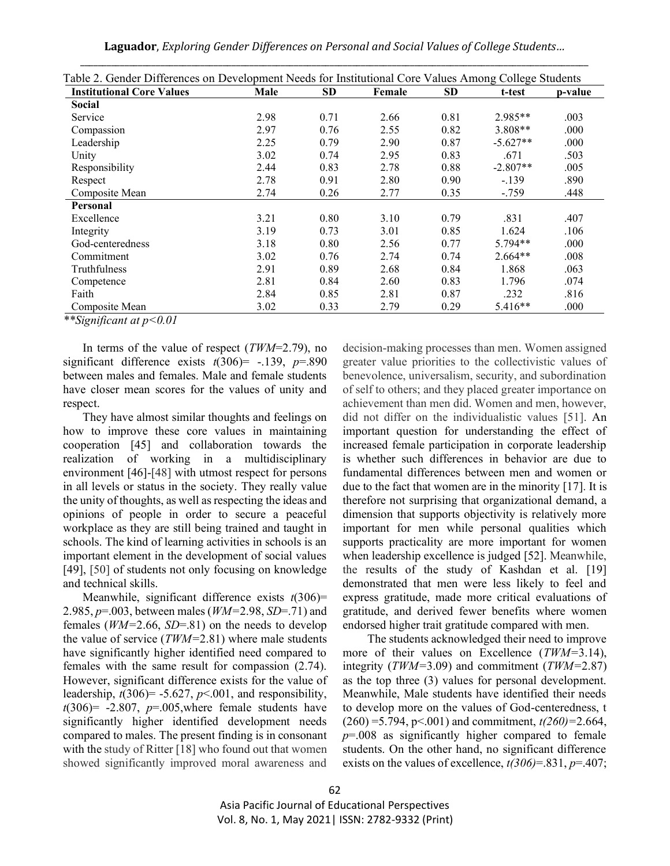**Laguador**, *Exploring Gender Differences on Personal and Social Values of College Students…*

| <b>Institutional Core Values</b> | Male | <b>SD</b> | Female | <b>SD</b> | t-test     | p-value |
|----------------------------------|------|-----------|--------|-----------|------------|---------|
| <b>Social</b>                    |      |           |        |           |            |         |
| Service                          | 2.98 | 0.71      | 2.66   | 0.81      | 2.985**    | .003    |
| Compassion                       | 2.97 | 0.76      | 2.55   | 0.82      | $3.808**$  | .000    |
| Leadership                       | 2.25 | 0.79      | 2.90   | 0.87      | $-5.627**$ | .000    |
| Unity                            | 3.02 | 0.74      | 2.95   | 0.83      | .671       | .503    |
| Responsibility                   | 2.44 | 0.83      | 2.78   | 0.88      | $-2.807**$ | .005    |
| Respect                          | 2.78 | 0.91      | 2.80   | 0.90      | $-.139$    | .890    |
| Composite Mean                   | 2.74 | 0.26      | 2.77   | 0.35      | $-.759$    | .448    |
| Personal                         |      |           |        |           |            |         |
| Excellence                       | 3.21 | 0.80      | 3.10   | 0.79      | .831       | .407    |
| Integrity                        | 3.19 | 0.73      | 3.01   | 0.85      | 1.624      | .106    |
| God-centeredness                 | 3.18 | 0.80      | 2.56   | 0.77      | $5.794**$  | .000    |
| Commitment                       | 3.02 | 0.76      | 2.74   | 0.74      | $2.664**$  | .008    |
| Truthfulness                     | 2.91 | 0.89      | 2.68   | 0.84      | 1.868      | .063    |
| Competence                       | 2.81 | 0.84      | 2.60   | 0.83      | 1.796      | .074    |
| Faith                            | 2.84 | 0.85      | 2.81   | 0.87      | .232       | .816    |
| Composite Mean                   | 3.02 | 0.33      | 2.79   | 0.29      | 5.416**    | .000    |

|  | Table 2. Gender Differences on Development Needs for Institutional Core Values Among College Students |
|--|-------------------------------------------------------------------------------------------------------|

*\*\*Significant at p<0.01*

In terms of the value of respect (*TWM*=2.79), no significant difference exists  $t(306)$  = -.139,  $p=890$ between males and females. Male and female students have closer mean scores for the values of unity and respect.

They have almost similar thoughts and feelings on how to improve these core values in maintaining cooperation [45] and collaboration towards the realization of working in a multidisciplinary environment [46]-[48] with utmost respect for persons in all levels or status in the society. They really value the unity of thoughts, as well as respecting the ideas and opinions of people in order to secure a peaceful workplace as they are still being trained and taught in schools. The kind of learning activities in schools is an important element in the development of social values [49], [50] of students not only focusing on knowledge and technical skills.

Meanwhile, significant difference exists *t*(306)= 2.985, *p*=.003, between males (*WM=*2.98, *SD*=.71) and females (*WM=*2.66, *SD*=.81) on the needs to develop the value of service (*TWM=*2.81) where male students have significantly higher identified need compared to females with the same result for compassion (2.74). However, significant difference exists for the value of leadership,  $t(306) = -5.627$ ,  $p < .001$ , and responsibility,  $t(306)= -2.807$ ,  $p=0.005$ , where female students have significantly higher identified development needs compared to males. The present finding is in consonant with the study of Ritter [18] who found out that women showed significantly improved moral awareness and

decision-making processes than men. Women assigned greater value priorities to the collectivistic values of benevolence, universalism, security, and subordination of self to others; and they placed greater importance on achievement than men did. Women and men, however, did not differ on the individualistic values [51]. An important question for understanding the effect of increased female participation in corporate leadership is whether such differences in behavior are due to fundamental differences between men and women or due to the fact that women are in the minority [17]. It is therefore not surprising that organizational demand, a dimension that supports objectivity is relatively more important for men while personal qualities which supports practicality are more important for women when leadership excellence is judged [52]. Meanwhile, the results of the study of Kashdan et al. [19] demonstrated that men were less likely to feel and express gratitude, made more critical evaluations of gratitude, and derived fewer benefits where women endorsed higher trait gratitude compared with men.

The students acknowledged their need to improve more of their values on Excellence (*TWM=*3.14), integrity (*TWM=*3.09) and commitment (*TWM=*2.87) as the top three (3) values for personal development. Meanwhile, Male students have identified their needs to develop more on the values of God-centeredness, t (260) =5.794, p<.001) and commitment, *t(260)=*2.664, *p*=.008 as significantly higher compared to female students. On the other hand, no significant difference exists on the values of excellence, *t(306)*=.831, *p*=.407;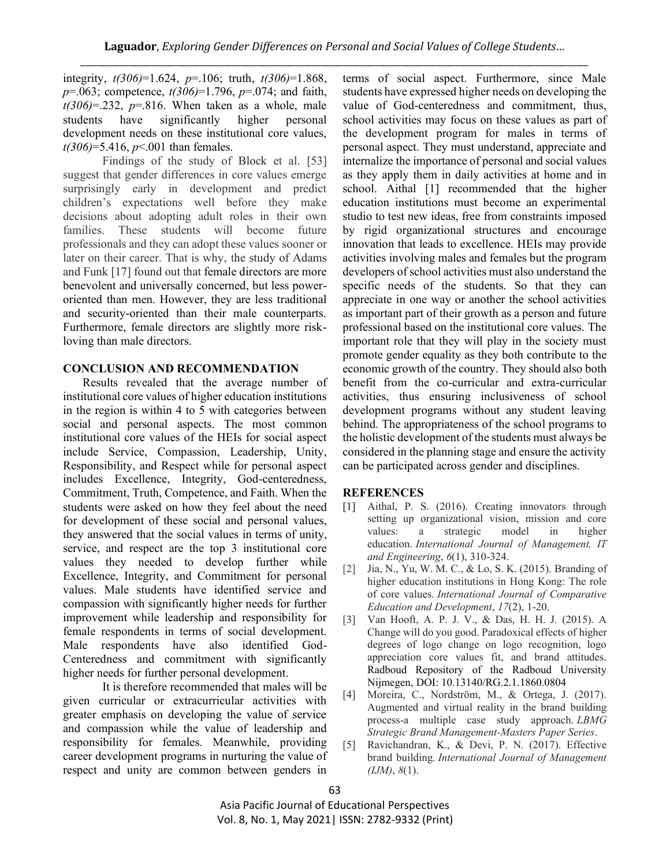integrity, *t(306)*=1.624, *p*=.106; truth, *t(306)*=1.868, *p*=.063; competence, *t(306)*=1.796, *p*=.074; and faith,  $t(306)=0.232$ ,  $p=.816$ . When taken as a whole, male students have significantly higher personal development needs on these institutional core values, *t(306)*=5.416, *p*<.001 than females.

Findings of the study of Block et al. [53] suggest that gender differences in core values emerge surprisingly early in development and predict children's expectations well before they make decisions about adopting adult roles in their own families. These students will become future professionals and they can adopt these values sooner or later on their career. That is why, the study of Adams and Funk [17] found out that female directors are more benevolent and universally concerned, but less poweroriented than men. However, they are less traditional and security-oriented than their male counterparts. Furthermore, female directors are slightly more riskloving than male directors.

## **CONCLUSION AND RECOMMENDATION**

Results revealed that the average number of institutional core values of higher education institutions in the region is within 4 to 5 with categories between social and personal aspects. The most common institutional core values of the HEIs for social aspect include Service, Compassion, Leadership, Unity, Responsibility, and Respect while for personal aspect includes Excellence, Integrity, God-centeredness, Commitment, Truth, Competence, and Faith. When the students were asked on how they feel about the need for development of these social and personal values, they answered that the social values in terms of unity, service, and respect are the top 3 institutional core values they needed to develop further while Excellence, Integrity, and Commitment for personal values. Male students have identified service and compassion with significantly higher needs for further improvement while leadership and responsibility for female respondents in terms of social development. Male respondents have also identified God-Centeredness and commitment with significantly higher needs for further personal development.

It is therefore recommended that males will be given curricular or extracurricular activities with greater emphasis on developing the value of service and compassion while the value of leadership and responsibility for females. Meanwhile, providing career development programs in nurturing the value of respect and unity are common between genders in

terms of social aspect. Furthermore, since Male students have expressed higher needs on developing the value of God-centeredness and commitment, thus, school activities may focus on these values as part of the development program for males in terms of personal aspect. They must understand, appreciate and internalize the importance of personal and social values as they apply them in daily activities at home and in school. Aithal [1] recommended that the higher education institutions must become an experimental studio to test new ideas, free from constraints imposed by rigid organizational structures and encourage innovation that leads to excellence. HEIs may provide activities involving males and females but the program developers of school activities must also understand the specific needs of the students. So that they can appreciate in one way or another the school activities as important part of their growth as a person and future professional based on the institutional core values. The important role that they will play in the society must promote gender equality as they both contribute to the economic growth of the country. They should also both benefit from the co-curricular and extra-curricular activities, thus ensuring inclusiveness of school development programs without any student leaving behind. The appropriateness of the school programs to the holistic development of the students must always be considered in the planning stage and ensure the activity can be participated across gender and disciplines.

# **REFERENCES**

- [1] Aithal, P. S. (2016). Creating innovators through setting up organizational vision, mission and core values: a strategic model in higher education. *International Journal of Management, IT and Engineering*, *6*(1), 310-324.
- [2] Jia, N., Yu, W. M. C., & Lo, S. K. (2015). Branding of higher education institutions in Hong Kong: The role of core values. *International Journal of Comparative Education and Development*, *17*(2), 1-20.
- [3] Van Hooft, A. P. J. V., & Das, H. H. J. (2015). A Change will do you good. Paradoxical effects of higher degrees of logo change on logo recognition, logo appreciation core values fit, and brand attitudes. Radboud Repository of the Radboud University Nijmegen, DOI: 10.13140/RG.2.1.1860.0804
- [4] Moreira, C., Nordström, M., & Ortega, J. (2017). Augmented and virtual reality in the brand building process-a multiple case study approach. *LBMG Strategic Brand Management-Masters Paper Series*.
- [5] Ravichandran, K., & Devi, P. N. (2017). Effective brand building. *International Journal of Management (IJM)*, *8*(1).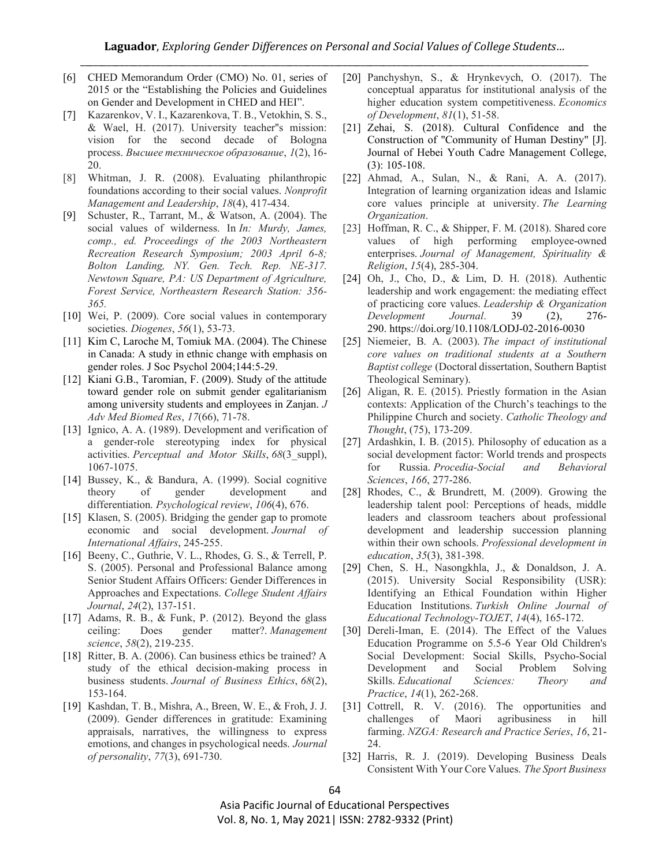- [6] CHED Memorandum Order (CMO) No. 01, series of 2015 or the "Establishing the Policies and Guidelines on Gender and Development in CHED and HEI".
- [7] Kazarenkov, V. I., Kazarenkova, T. B., Vetokhin, S. S., & Wael, H. (2017). University teacher''s mission: vision for the second decade of Bologna process. *Высшее техническое образование*, *1*(2), 16- 20.
- [8] Whitman, J. R. (2008). Evaluating philanthropic foundations according to their social values. *Nonprofit Management and Leadership*, *18*(4), 417-434.
- [9] Schuster, R., Tarrant, M., & Watson, A. (2004). The social values of wilderness. In *In: Murdy, James, comp., ed. Proceedings of the 2003 Northeastern Recreation Research Symposium; 2003 April 6-8; Bolton Landing, NY. Gen. Tech. Rep. NE-317. Newtown Square, PA: US Department of Agriculture, Forest Service, Northeastern Research Station: 356- 365.*
- [10] Wei, P. (2009). Core social values in contemporary societies. *Diogenes*, *56*(1), 53-73.
- [11] Kim C, Laroche M, Tomiuk MA. (2004). The Chinese in Canada: A study in ethnic change with emphasis on gender roles. J Soc Psychol 2004;144:5-29.
- [12] Kiani G.B., Taromian, F. (2009). Study of the attitude toward gender role on submit gender egalitarianism among university students and employees in Zanjan. *J Adv Med Biomed Res*, *17*(66), 71-78.
- [13] Ignico, A. A. (1989). Development and verification of a gender-role stereotyping index for physical activities. *Perceptual and Motor Skills*, *68*(3\_suppl), 1067-1075.
- [14] Bussey, K., & Bandura, A. (1999). Social cognitive theory of gender development and differentiation. *Psychological review*, *106*(4), 676.
- [15] Klasen, S. (2005). Bridging the gender gap to promote economic and social development. *Journal of International Affairs*, 245-255.
- [16] Beeny, C., Guthrie, V. L., Rhodes, G. S., & Terrell, P. S. (2005). Personal and Professional Balance among Senior Student Affairs Officers: Gender Differences in Approaches and Expectations. *College Student Affairs Journal*, *24*(2), 137-151.
- [17] Adams, R. B., & Funk, P. (2012). Beyond the glass ceiling: Does gender matter?. *Management science*, *58*(2), 219-235.
- [18] Ritter, B. A. (2006). Can business ethics be trained? A study of the ethical decision-making process in business students. *Journal of Business Ethics*, *68*(2), 153-164.
- [19] Kashdan, T. B., Mishra, A., Breen, W. E., & Froh, J. J. (2009). Gender differences in gratitude: Examining appraisals, narratives, the willingness to express emotions, and changes in psychological needs. *Journal of personality*, *77*(3), 691-730.
- [20] Panchyshyn, S., & Hrynkevych, O. (2017). The conceptual apparatus for institutional analysis of the higher education system competitiveness. *Economics of Development*, *81*(1), 51-58.
- [21] Zehai, S. (2018). Cultural Confidence and the Construction of "Community of Human Destiny" [J]. Journal of Hebei Youth Cadre Management College, (3): 105-108.
- [22] Ahmad, A., Sulan, N., & Rani, A. A. (2017). Integration of learning organization ideas and Islamic core values principle at university. *The Learning Organization*.
- [23] Hoffman, R. C., & Shipper, F. M. (2018). Shared core values of high performing employee-owned enterprises. *Journal of Management, Spirituality & Religion*, *15*(4), 285-304.
- [24] Oh, J., Cho, D., & Lim, D. H. (2018). Authentic leadership and work engagement: the mediating effect of practicing core values. *Leadership & Organization Development Journal*. 39 (2), 276- 290. https://doi.org/10.1108/LODJ-02-2016-0030
- [25] Niemeier, B. A. (2003). *The impact of institutional core values on traditional students at a Southern Baptist college* (Doctoral dissertation, Southern Baptist Theological Seminary).
- [26] Aligan, R. E. (2015). Priestly formation in the Asian contexts: Application of the Church's teachings to the Philippine Church and society. *Catholic Theology and Thought*, (75), 173-209.
- [27] Ardashkin, I. B. (2015). Philosophy of education as a social development factor: World trends and prospects for Russia. *Procedia-Social and Behavioral Sciences*, *166*, 277-286.
- [28] Rhodes, C., & Brundrett, M. (2009). Growing the leadership talent pool: Perceptions of heads, middle leaders and classroom teachers about professional development and leadership succession planning within their own schools. *Professional development in education*, *35*(3), 381-398.
- [29] Chen, S. H., Nasongkhla, J., & Donaldson, J. A. (2015). University Social Responsibility (USR): Identifying an Ethical Foundation within Higher Education Institutions. *Turkish Online Journal of Educational Technology-TOJET*, *14*(4), 165-172.
- [30] Dereli-Iman, E. (2014). The Effect of the Values Education Programme on 5.5-6 Year Old Children's Social Development: Social Skills, Psycho-Social Development and Social Problem Solving Skills. *Educational Sciences: Theory and Practice*, *14*(1), 262-268.
- [31] Cottrell, R. V. (2016). The opportunities and challenges of Maori agribusiness in hill farming. *NZGA: Research and Practice Series*, *16*, 21- 24.
- [32] Harris, R. J. (2019). Developing Business Deals Consistent With Your Core Values. *The Sport Business*